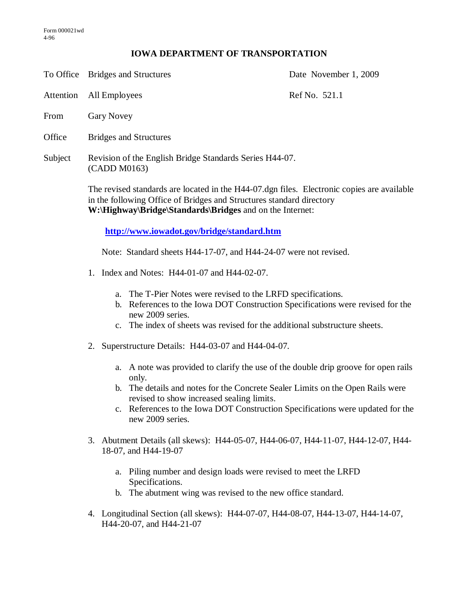## **IOWA DEPARTMENT OF TRANSPORTATION**

To Office Bridges and Structures Date November 1, 2009

Attention All Employees Ref No. 521.1

- From Gary Novey
- Office Bridges and Structures
- Subject Revision of the English Bridge Standards Series H44-07. (CADD M0163)

The revised standards are located in the H44-07.dgn files. Electronic copies are available in the following Office of Bridges and Structures standard directory **W:\Highway\Bridge\Standards\Bridges** and on the Internet:

**<http://www.iowadot.gov/bridge/standard.htm>**

Note: Standard sheets H44-17-07, and H44-24-07 were not revised.

- 1. Index and Notes: H44-01-07 and H44-02-07.
	- a. The T-Pier Notes were revised to the LRFD specifications.
	- b. References to the Iowa DOT Construction Specifications were revised for the new 2009 series.
	- c. The index of sheets was revised for the additional substructure sheets.
- 2. Superstructure Details: H44-03-07 and H44-04-07.
	- a. A note was provided to clarify the use of the double drip groove for open rails only.
	- b. The details and notes for the Concrete Sealer Limits on the Open Rails were revised to show increased sealing limits.
	- c. References to the Iowa DOT Construction Specifications were updated for the new 2009 series.
- 3. Abutment Details (all skews): H44-05-07, H44-06-07, H44-11-07, H44-12-07, H44- 18-07, and H44-19-07
	- a. Piling number and design loads were revised to meet the LRFD Specifications.
	- b. The abutment wing was revised to the new office standard.
- 4. Longitudinal Section (all skews): H44-07-07, H44-08-07, H44-13-07, H44-14-07, H44-20-07, and H44-21-07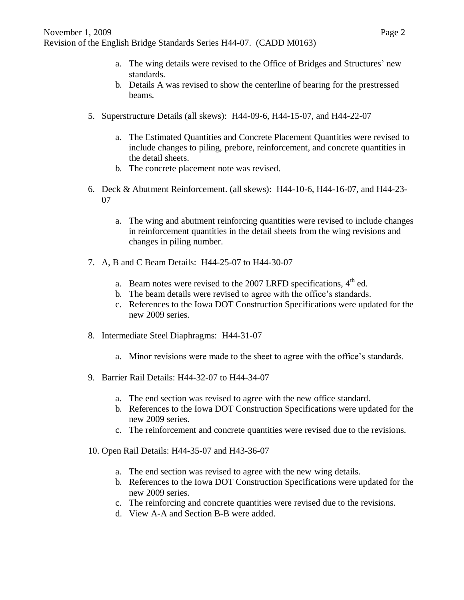- a. The wing details were revised to the Office of Bridges and Structures' new standards.
- b. Details A was revised to show the centerline of bearing for the prestressed beams.
- 5. Superstructure Details (all skews): H44-09-6, H44-15-07, and H44-22-07
	- a. The Estimated Quantities and Concrete Placement Quantities were revised to include changes to piling, prebore, reinforcement, and concrete quantities in the detail sheets.
	- b. The concrete placement note was revised.
- 6. Deck & Abutment Reinforcement. (all skews): H44-10-6, H44-16-07, and H44-23- 07
	- a. The wing and abutment reinforcing quantities were revised to include changes in reinforcement quantities in the detail sheets from the wing revisions and changes in piling number.
- 7. A, B and C Beam Details: H44-25-07 to H44-30-07
	- a. Beam notes were revised to the 2007 LRFD specifications,  $4<sup>th</sup>$  ed.
	- b. The beam details were revised to agree with the office's standards.
	- c. References to the Iowa DOT Construction Specifications were updated for the new 2009 series.
- 8. Intermediate Steel Diaphragms: H44-31-07
	- a. Minor revisions were made to the sheet to agree with the office's standards.
- 9. Barrier Rail Details: H44-32-07 to H44-34-07
	- a. The end section was revised to agree with the new office standard.
	- b. References to the Iowa DOT Construction Specifications were updated for the new 2009 series.
	- c. The reinforcement and concrete quantities were revised due to the revisions.
- 10. Open Rail Details: H44-35-07 and H43-36-07
	- a. The end section was revised to agree with the new wing details.
	- b. References to the Iowa DOT Construction Specifications were updated for the new 2009 series.
	- c. The reinforcing and concrete quantities were revised due to the revisions.
	- d. View A-A and Section B-B were added.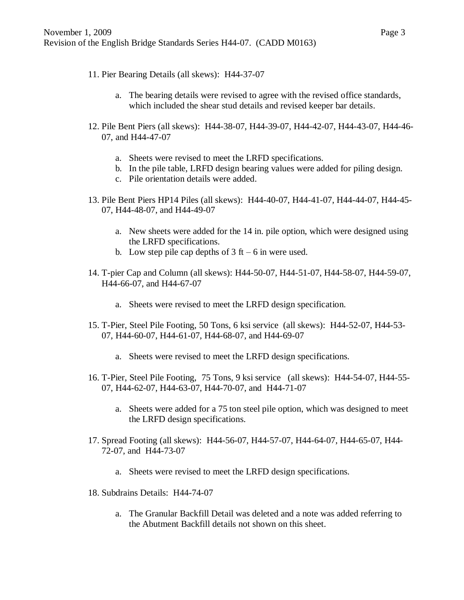- 11. Pier Bearing Details (all skews): H44-37-07
	- a. The bearing details were revised to agree with the revised office standards, which included the shear stud details and revised keeper bar details.
- 12. Pile Bent Piers (all skews): H44-38-07, H44-39-07, H44-42-07, H44-43-07, H44-46- 07, and H44-47-07
	- a. Sheets were revised to meet the LRFD specifications.
	- b. In the pile table, LRFD design bearing values were added for piling design.
	- c. Pile orientation details were added.
- 13. Pile Bent Piers HP14 Piles (all skews): H44-40-07, H44-41-07, H44-44-07, H44-45- 07, H44-48-07, and H44-49-07
	- a. New sheets were added for the 14 in. pile option, which were designed using the LRFD specifications.
	- b. Low step pile cap depths of  $3 \text{ ft} 6 \text{ in were used.}$
- 14. T-pier Cap and Column (all skews): H44-50-07, H44-51-07, H44-58-07, H44-59-07, H44-66-07, and H44-67-07
	- a. Sheets were revised to meet the LRFD design specification.
- 15. T-Pier, Steel Pile Footing, 50 Tons, 6 ksi service (all skews): H44-52-07, H44-53- 07, H44-60-07, H44-61-07, H44-68-07, and H44-69-07
	- a. Sheets were revised to meet the LRFD design specifications.
- 16. T-Pier, Steel Pile Footing, 75 Tons, 9 ksi service (all skews): H44-54-07, H44-55- 07, H44-62-07, H44-63-07, H44-70-07, and H44-71-07
	- a. Sheets were added for a 75 ton steel pile option, which was designed to meet the LRFD design specifications.
- 17. Spread Footing (all skews): H44-56-07, H44-57-07, H44-64-07, H44-65-07, H44- 72-07, and H44-73-07
	- a. Sheets were revised to meet the LRFD design specifications.
- 18. Subdrains Details: H44-74-07
	- a. The Granular Backfill Detail was deleted and a note was added referring to the Abutment Backfill details not shown on this sheet.